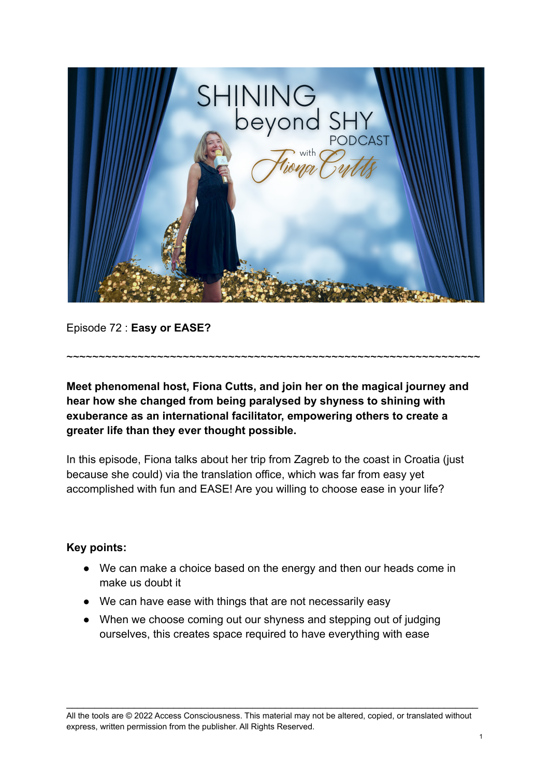

Episode 72 : **Easy or EASE?**

**Meet phenomenal host, Fiona Cutts, and join her on the magical journey and hear how she changed from being paralysed by shyness to shining with exuberance as an international facilitator, empowering others to create a greater life than they ever thought possible.**

~~~~~~~~~~~~~~~~~~~~~~~~~~~~~~~~~~~~~~~~~~~~~~~~~~~~~~~~~~~~~~~~

In this episode, Fiona talks about her trip from Zagreb to the coast in Croatia (just because she could) via the translation office, which was far from easy yet accomplished with fun and EASE! Are you willing to choose ease in your life?

## **Key points:**

- We can make a choice based on the energy and then our heads come in make us doubt it
- We can have ease with things that are not necessarily easy
- When we choose coming out our shyness and stepping out of judging ourselves, this creates space required to have everything with ease

\_\_\_\_\_\_\_\_\_\_\_\_\_\_\_\_\_\_\_\_\_\_\_\_\_\_\_\_\_\_\_\_\_\_\_\_\_\_\_\_\_\_\_\_\_\_\_\_\_\_\_\_\_\_\_\_\_\_\_\_\_\_\_\_\_\_\_\_\_\_\_\_\_

All the tools are © 2022 Access Consciousness. This material may not be altered, copied, or translated without express, written permission from the publisher. All Rights Reserved.